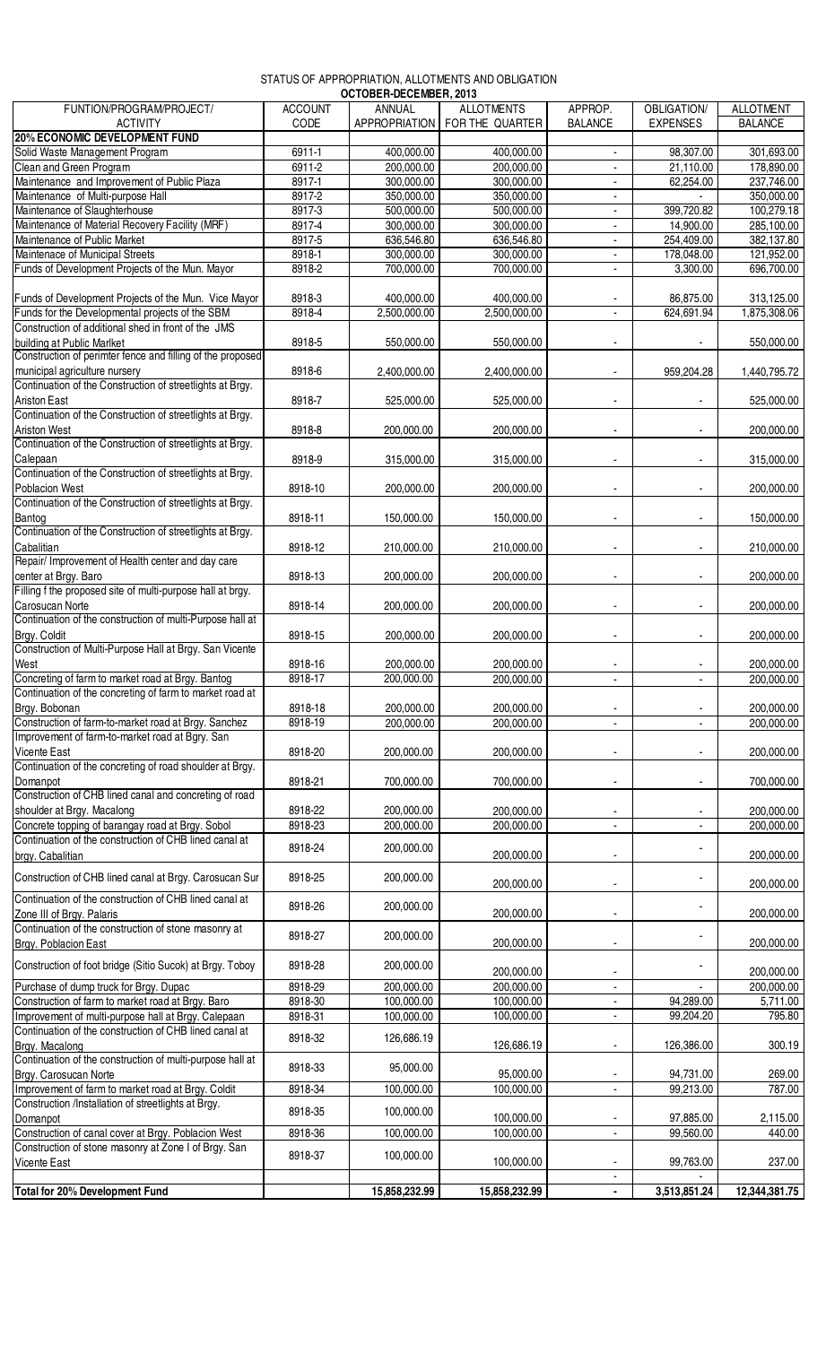## STATUS OF APPROPRIATION, ALLOTMENTS AND OBLIGATION

|                                                                                                                                    |                | OCTOBER-DECEMBER, 2013 |                                 |                |                          |                  |
|------------------------------------------------------------------------------------------------------------------------------------|----------------|------------------------|---------------------------------|----------------|--------------------------|------------------|
| FUNTION/PROGRAM/PROJECT/                                                                                                           | <b>ACCOUNT</b> | <b>ANNUAL</b>          | <b>ALLOTMENTS</b>               | APPROP.        | <b>OBLIGATION/</b>       | <b>ALLOTMENT</b> |
| <b>ACTIVITY</b>                                                                                                                    | CODE           |                        | APPROPRIATION   FOR THE QUARTER | <b>BALANCE</b> | <b>EXPENSES</b>          | <b>BALANCE</b>   |
| <b>20% ECONOMIC DEVELOPMENT FUND</b>                                                                                               |                |                        |                                 |                |                          |                  |
| Solid Waste Management Program                                                                                                     | 6911-1         | 400,000.00             | 400,000.00                      |                | 98,307.00                | 301,693.00       |
| Clean and Green Program                                                                                                            | $6911 - 2$     | 200,000.00             | 200,000.00                      | $\blacksquare$ | 21,110.00                | 178,890.00       |
| Maintenance and Improvement of Public Plaza                                                                                        | 8917-1         | 300,000.00             | 300,000.00                      | $\blacksquare$ | 62,254.00                | 237,746.00       |
|                                                                                                                                    |                |                        |                                 |                |                          |                  |
| Maintenance of Multi-purpose Hall                                                                                                  | 8917-2         | 350,000.00             | 350,000.00                      |                |                          | 350,000.00       |
| Maintenance of Slaughterhouse                                                                                                      | 8917-3         | 500,000.00             | 500,000.00                      | $\blacksquare$ | 399,720.82               | 100,279.18       |
| Maintenance of Material Recovery Facility (MRF)                                                                                    | 8917-4         | 300,000.00             | 300,000.00                      |                | 14,900.00                | 285,100.00       |
| Maintenance of Public Market                                                                                                       | 8917-5         | 636,546.80             | 636,546.80                      |                | 254,409.00               | 382,137.80       |
| Maintenace of Municipal Streets                                                                                                    | $8918 - 1$     | 300,000.00             | 300,000.00                      | $\blacksquare$ | 178,048.00               | 121,952.00       |
| Funds of Development Projects of the Mun. Mayor                                                                                    | 8918-2         | 700,000.00             | 700,000.00                      | ٠              | 3,300.00                 | 696,700.00       |
|                                                                                                                                    |                |                        |                                 |                |                          |                  |
| Funds of Development Projects of the Mun. Vice Mayor                                                                               | 8918-3         | 400,000.00             | 400,000.00                      |                | 86,875.00                | 313,125.00       |
| Funds for the Developmental projects of the SBM                                                                                    | 8918-4         | 2,500,000.00           | 2,500,000.00                    |                | 624,691.94               |                  |
|                                                                                                                                    |                |                        |                                 |                |                          | 1,875,308.06     |
| Construction of additional shed in front of the JMS                                                                                |                |                        |                                 |                |                          |                  |
| building at Public Marlket                                                                                                         | 8918-5         | 550,000.00             | 550,000.00                      |                |                          | 550,000.00       |
| Construction of perimter fence and filling of the proposed                                                                         |                |                        |                                 |                |                          |                  |
| municipal agriculture nursery<br>Continuation of the Construction of streetlights at Brgy.                                         | 8918-6         | 2,400,000.00           | 2,400,000.00                    |                | 959,204.28               | 1,440,795.72     |
|                                                                                                                                    |                |                        |                                 |                |                          |                  |
| <b>Ariston East</b>                                                                                                                | 8918-7         | 525,000.00             | 525,000.00                      |                |                          | 525,000.00       |
| Continuation of the Construction of streetlights at Brgy.                                                                          |                |                        |                                 |                |                          |                  |
|                                                                                                                                    |                |                        |                                 |                |                          |                  |
| <b>Ariston West</b>                                                                                                                | 8918-8         | 200.000.00             | 200,000.00                      |                |                          | 200,000.00       |
| Continuation of the Construction of streetlights at Brgy.                                                                          |                |                        |                                 |                |                          |                  |
|                                                                                                                                    | 8918-9         | 315,000.00             | 315,000.00                      |                |                          | 315,000.00       |
| Calepaan<br>Continuation of the Construction of streetlights at Brgy.                                                              |                |                        |                                 |                |                          |                  |
| <b>Poblacion West</b>                                                                                                              | 8918-10        | 200,000.00             | 200,000.00                      |                |                          | 200,000.00       |
| Continuation of the Construction of streetlights at Brgy.                                                                          |                |                        |                                 |                |                          |                  |
| Bantog                                                                                                                             | 8918-11        | 150,000.00             | 150,000.00                      | $\blacksquare$ | $\overline{\phantom{a}}$ | 150,000.00       |
| Continuation of the Construction of streetlights at Brgy.                                                                          |                |                        |                                 |                |                          |                  |
|                                                                                                                                    |                |                        |                                 |                |                          |                  |
| Cabalitian<br>Repair/Improvement of Health center and day care                                                                     | 8918-12        | 210,000.00             | 210,000.00                      |                |                          | 210,000.00       |
|                                                                                                                                    |                |                        |                                 |                |                          |                  |
| center at Brgy. Baro<br>Filling f the proposed site of multi-purpose hall at brgy.                                                 | 8918-13        | 200,000.00             | 200,000.00                      |                |                          | 200,000.00       |
|                                                                                                                                    |                |                        |                                 |                |                          |                  |
| Carosucan Norte                                                                                                                    | 8918-14        | 200,000.00             | 200,000.00                      |                |                          | 200,000.00       |
| Continuation of the construction of multi-Purpose hall at                                                                          |                |                        |                                 |                |                          |                  |
|                                                                                                                                    | 8918-15        | 200,000.00             | 200,000.00                      |                |                          | 200,000.00       |
| Brgy. Coldit<br>Construction of Multi-Purpose Hall at Brgy. San Vicente                                                            |                |                        |                                 |                |                          |                  |
| West                                                                                                                               |                |                        |                                 |                |                          |                  |
|                                                                                                                                    | 8918-16        | 200,000.00             | 200,000.00                      |                |                          | 200,000.00       |
| Concreting of farm to market road at Brgy. Bantog                                                                                  | 8918-17        | 200,000.00             | 200,000.00                      | $\blacksquare$ | $\mathbf{r}$             | 200,000.00       |
| Continuation of the concreting of farm to market road at                                                                           |                |                        |                                 |                |                          |                  |
| Brgy. Bobonan                                                                                                                      | 8918-18        | 200,000.00             | 200,000.00                      |                |                          | 200,000.00       |
|                                                                                                                                    | 8918-19        | 200,000.00             | 200,000.00                      |                |                          | 200,000.00       |
| Construction of farm-to-market road at Brgy. Sanchez<br>Improvement of farm-to-market road at Bgry. San                            |                |                        |                                 |                |                          |                  |
| Vicente East                                                                                                                       | 8918-20        | 200,000.00             | 200,000.00                      |                |                          | 200,000.00       |
| Continuation of the concreting of road shoulder at Brgy.                                                                           |                |                        |                                 |                |                          |                  |
|                                                                                                                                    |                |                        |                                 |                |                          |                  |
| Domanpot                                                                                                                           | 8918-21        | 700,000.00             | 700,000.00                      |                |                          | 700,000.00       |
| Construction of CHB lined canal and concreting of road                                                                             |                |                        |                                 |                |                          |                  |
| shoulder at Brgy. Macalong<br>Concrete topping of barangay road at Brgy. Sobol                                                     | 8918-22        | 200,000.00             | 200,000.00                      |                |                          | 200,000.00       |
|                                                                                                                                    | 8918-23        | 200,000.00             | 200,000.00                      |                |                          | 200,000.00       |
| Continuation of the construction of CHB lined canal at                                                                             |                |                        |                                 |                |                          |                  |
| brgy. Cabalitian                                                                                                                   | 8918-24        | 200,000.00             | 200,000.00                      |                |                          | 200,000.00       |
|                                                                                                                                    |                |                        |                                 |                |                          |                  |
| Construction of CHB lined canal at Brgy. Carosucan Sur                                                                             | 8918-25        | 200,000.00             | 200,000.00                      |                |                          | 200,000.00       |
| Continuation of the construction of CHB lined canal at                                                                             |                |                        |                                 |                |                          |                  |
|                                                                                                                                    | 8918-26        | 200,000.00             |                                 |                |                          |                  |
| Zone III of Brgy. Palaris<br>Continuation of the construction of stone masonry at                                                  |                |                        | 200,000.00                      |                |                          | 200,000.00       |
|                                                                                                                                    | 8918-27        | 200,000.00             |                                 |                |                          |                  |
| Brgy. Poblacion East                                                                                                               |                |                        | 200,000.00                      |                |                          | 200,000.00       |
|                                                                                                                                    |                |                        |                                 |                |                          |                  |
| Construction of foot bridge (Sitio Sucok) at Brgy. Toboy                                                                           | 8918-28        | 200,000.00             | 200,000.00                      |                |                          | 200,000.00       |
| Purchase of dump truck for Brgy. Dupac                                                                                             | 8918-29        | 200,000.00             | 200,000.00                      |                |                          | 200,000.00       |
| Construction of farm to market road at Brgy. Baro                                                                                  | 8918-30        | 100,000.00             | 100,000.00                      |                | 94,289.00                | 5,711.00         |
| Improvement of multi-purpose hall at Brgy. Calepaan                                                                                |                |                        | 100,000.00                      | ÷.             | 99,204.20                | 795.80           |
|                                                                                                                                    | 8918-31        | 100,000.00             |                                 |                |                          |                  |
| Continuation of the construction of CHB lined canal at                                                                             | 8918-32        | 126,686.19             |                                 |                |                          |                  |
| Brgy. Macalong                                                                                                                     |                |                        | 126,686.19                      |                | 126,386.00               | 300.19           |
| Continuation of the construction of multi-purpose hall at                                                                          |                |                        |                                 |                |                          |                  |
|                                                                                                                                    | 8918-33        | 95,000.00              | 95,000.00                       |                | 94,731.00                | 269.00           |
| Brgy. Carosucan Norte<br>Improvement of farm to market road at Brgy. Coldit<br>Construction /Installation of streetlights at Brgy. | 8918-34        | 100,000.00             | 100,000.00                      |                | 99,213.00                | 787.00           |
|                                                                                                                                    |                |                        |                                 |                |                          |                  |
|                                                                                                                                    | 8918-35        | 100,000.00             | 100,000.00                      |                | 97,885.00                | 2,115.00         |
| Domanpot                                                                                                                           |                |                        |                                 |                |                          |                  |
| Construction of canal cover at Brgy. Poblacion West                                                                                | 8918-36        | 100,000.00             | 100,000.00                      |                | 99,560.00                | 440.00           |
| Construction of stone masonry at Zone I of Brgy. San                                                                               | 8918-37        | 100,000.00             |                                 |                |                          |                  |
| <b>Vicente East</b>                                                                                                                |                |                        | 100,000.00                      |                | 99,763.00                | 237.00           |
|                                                                                                                                    |                |                        |                                 |                |                          |                  |
| <b>Total for 20% Development Fund</b>                                                                                              |                | 15,858,232.99          | 15,858,232.99                   | $\blacksquare$ | 3,513,851.24             | 12,344,381.75    |